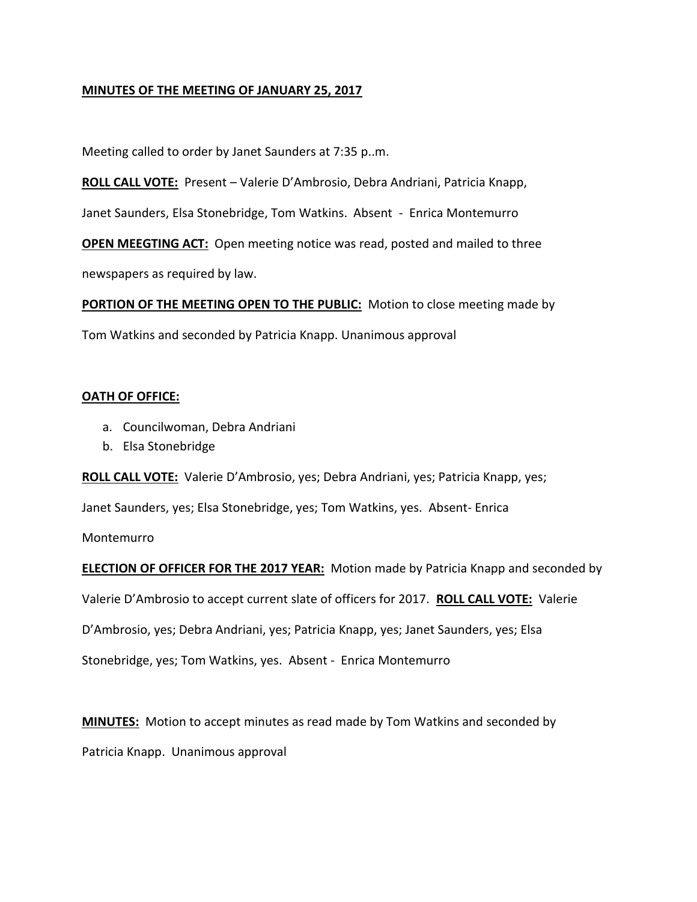### **MINUTES OF THE MEETING OF JANUARY 25, 2017**

Meeting called to order by Janet Saunders at 7:35 p..m.

**ROLL CALL VOTE:** Present – Valerie D'Ambrosio, Debra Andriani, Patricia Knapp,

Janet Saunders, Elsa Stonebridge, Tom Watkins. Absent - Enrica Montemurro

**OPEN MEEGTING ACT:** Open meeting notice was read, posted and mailed to three

newspapers as required by law.

**PORTION OF THE MEETING OPEN TO THE PUBLIC:** Motion to close meeting made by

# Tom Watkins and seconded by Patricia Knapp. Unanimous approval

#### **OATH OF OFFICE:**

- a. Councilwoman, Debra Andriani
- b. Elsa Stonebridge

**ROLL CALL VOTE:** Valerie D'Ambrosio, yes; Debra Andriani, yes; Patricia Knapp, yes;

Janet Saunders, yes; Elsa Stonebridge, yes; Tom Watkins, yes. Absent- Enrica

Montemurro

**ELECTION OF OFFICER FOR THE 2017 YEAR:** Motion made by Patricia Knapp and seconded by

Valerie D'Ambrosio to accept current slate of officers for 2017. **ROLL CALL VOTE:** Valerie

D'Ambrosio, yes; Debra Andriani, yes; Patricia Knapp, yes; Janet Saunders, yes; Elsa

Stonebridge, yes; Tom Watkins, yes. Absent - Enrica Montemurro

**MINUTES:** Motion to accept minutes as read made by Tom Watkins and seconded by

Patricia Knapp. Unanimous approval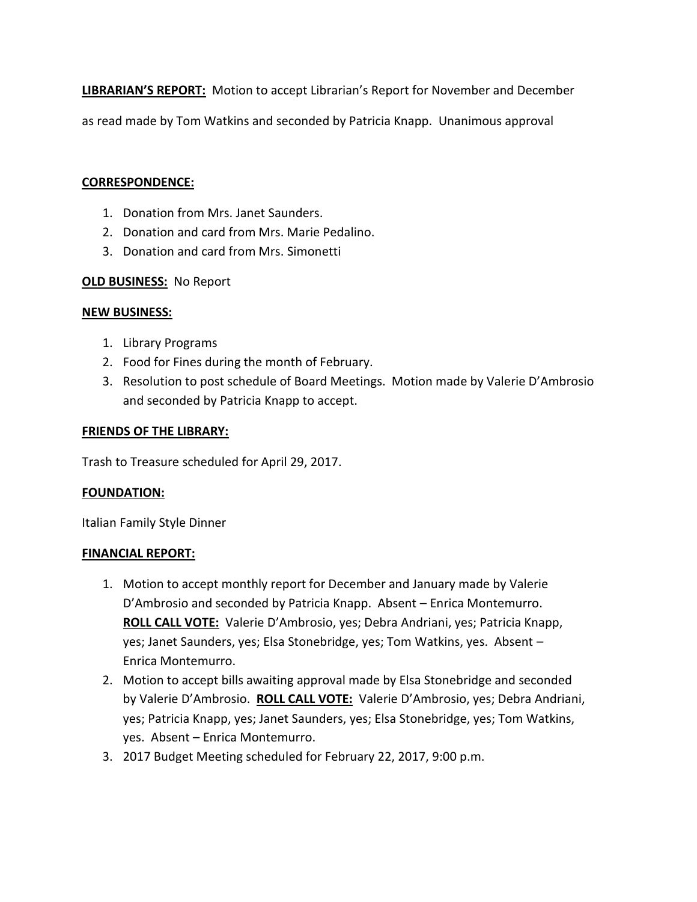**LIBRARIAN'S REPORT:** Motion to accept Librarian's Report for November and December

as read made by Tom Watkins and seconded by Patricia Knapp. Unanimous approval

### **CORRESPONDENCE:**

- 1. Donation from Mrs. Janet Saunders.
- 2. Donation and card from Mrs. Marie Pedalino.
- 3. Donation and card from Mrs. Simonetti

## **OLD BUSINESS:** No Report

### **NEW BUSINESS:**

- 1. Library Programs
- 2. Food for Fines during the month of February.
- 3. Resolution to post schedule of Board Meetings. Motion made by Valerie D'Ambrosio and seconded by Patricia Knapp to accept.

## **FRIENDS OF THE LIBRARY:**

Trash to Treasure scheduled for April 29, 2017.

### **FOUNDATION:**

Italian Family Style Dinner

### **FINANCIAL REPORT:**

- 1. Motion to accept monthly report for December and January made by Valerie D'Ambrosio and seconded by Patricia Knapp. Absent – Enrica Montemurro. **ROLL CALL VOTE:** Valerie D'Ambrosio, yes; Debra Andriani, yes; Patricia Knapp, yes; Janet Saunders, yes; Elsa Stonebridge, yes; Tom Watkins, yes. Absent – Enrica Montemurro.
- 2. Motion to accept bills awaiting approval made by Elsa Stonebridge and seconded by Valerie D'Ambrosio. **ROLL CALL VOTE:** Valerie D'Ambrosio, yes; Debra Andriani, yes; Patricia Knapp, yes; Janet Saunders, yes; Elsa Stonebridge, yes; Tom Watkins, yes. Absent – Enrica Montemurro.
- 3. 2017 Budget Meeting scheduled for February 22, 2017, 9:00 p.m.